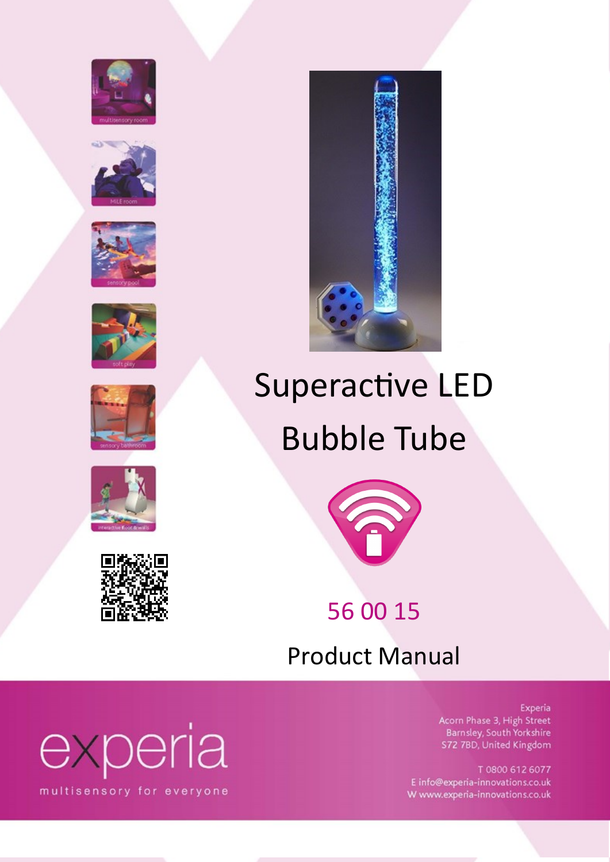















## Superactive LED Bubble Tube



### 56 00 15

Product Manual

#### Experia

Acorn Phase 3, High Street Barnsley, South Yorkshire S72 7BD, United Kingdom

T 0800 612 6077 E info@experia-innovations.co.uk W www.experia-innovations.co.uk

# experia

multisensory for everyone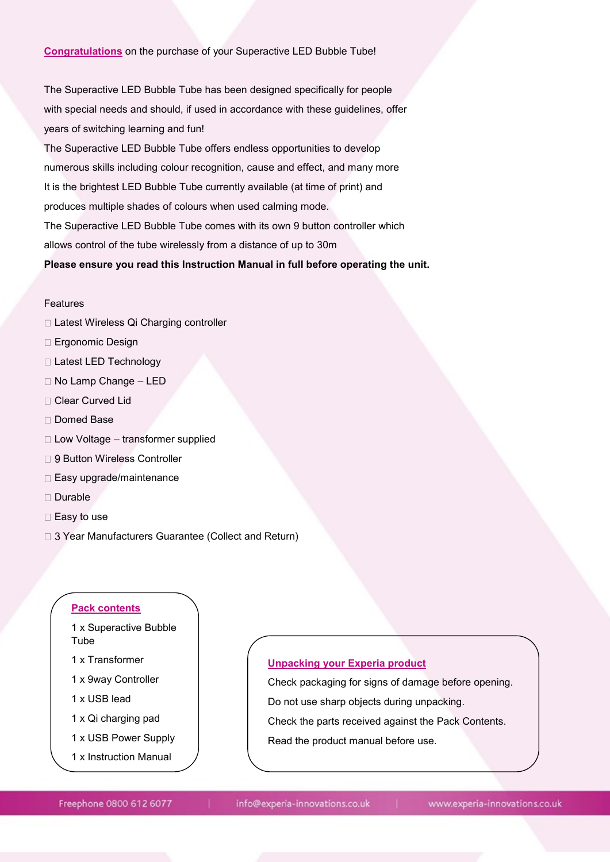#### **Congratulations** on the purchase of your Superactive LED Bubble Tube!

The Superactive LED Bubble Tube has been designed specifically for people with special needs and should, if used in accordance with these guidelines, offer years of switching learning and fun!

The Superactive LED Bubble Tube offers endless opportunities to develop numerous skills including colour recognition, cause and effect, and many more It is the brightest LED Bubble Tube currently available (at time of print) and produces multiple shades of colours when used calming mode. The Superactive LED Bubble Tube comes with its own 9 button controller which allows control of the tube wirelessly from a distance of up to 30m

#### **Please ensure you read this Instruction Manual in full before operating the unit.**

#### Features

- □ Latest Wireless Qi Charging controller
- □ Ergonomic Design
- Latest LED Technology
- □ No Lamp Change LED
- Clear Curved Lid
- □ Domed Base
- $\Box$  Low Voltage transformer supplied
- □ 9 Button Wireless Controller
- $\Box$  Easy upgrade/maintenance
- □ Durable
- $\square$  Easy to use
- □ 3 Year Manufacturers Guarantee (Collect and Return)

#### **Pack contents**

- 1 x Superactive Bubble Tube
- 1 x Transformer
- 1 x 9way Controller
- 1 x USB lead
- 1 x Qi charging pad
- 1 x USB Power Supply
- 1 x Instruction Manual

#### **Unpacking your Experia product**

Check packaging for signs of damage before opening. Do not use sharp objects during unpacking. Check the parts received against the Pack Contents. Read the product manual before use.

Freephone 0800 612 6077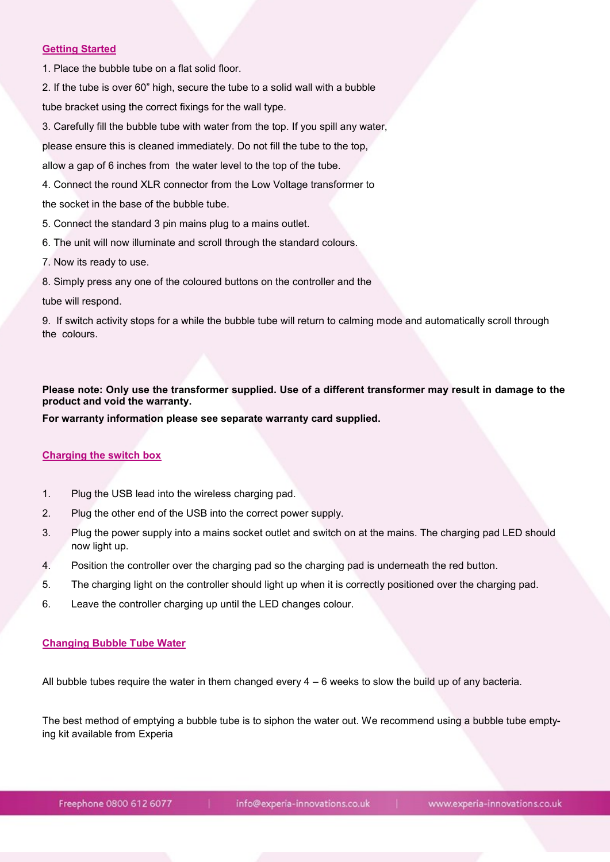#### **Getting Started**

1. Place the bubble tube on a flat solid floor.

2. If the tube is over 60" high, secure the tube to a solid wall with a bubble

tube bracket using the correct fixings for the wall type.

3. Carefully fill the bubble tube with water from the top. If you spill any water,

please ensure this is cleaned immediately. Do not fill the tube to the top,

allow a gap of 6 inches from the water level to the top of the tube.

4. Connect the round XLR connector from the Low Voltage transformer to

the socket in the base of the bubble tube.

- 5. Connect the standard 3 pin mains plug to a mains outlet.
- 6. The unit will now illuminate and scroll through the standard colours.
- 7. Now its ready to use.
- 8. Simply press any one of the coloured buttons on the controller and the

tube will respond.

9. If switch activity stops for a while the bubble tube will return to calming mode and automatically scroll through the colours.

**Please note: Only use the transformer supplied. Use of a different transformer may result in damage to the product and void the warranty.**

**For warranty information please see separate warranty card supplied.**

#### **Charging the switch box**

- 1. Plug the USB lead into the wireless charging pad.
- 2. Plug the other end of the USB into the correct power supply.
- 3. Plug the power supply into a mains socket outlet and switch on at the mains. The charging pad LED should now light up.
- 4. Position the controller over the charging pad so the charging pad is underneath the red button.
- 5. The charging light on the controller should light up when it is correctly positioned over the charging pad.
- 6. Leave the controller charging up until the LED changes colour.

#### **Changing Bubble Tube Water**

All bubble tubes require the water in them changed every  $4 - 6$  weeks to slow the build up of any bacteria.

The best method of emptying a bubble tube is to siphon the water out. We recommend using a bubble tube emptying kit available from Experia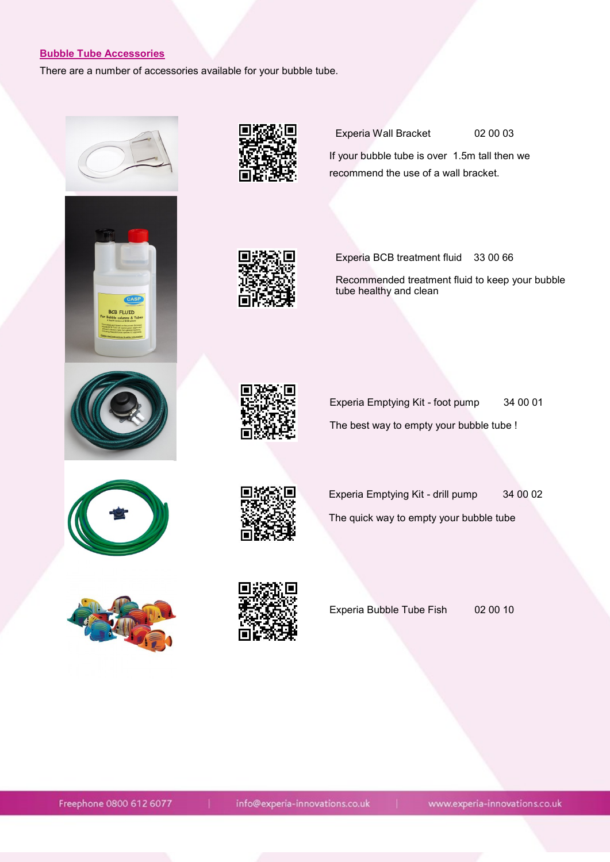#### **Bubble Tube Accessories**

There are a number of accessories available for your bubble tube.





Experia Wall Bracket 02 00 03

If your bubble tube is over 1.5m tall then we recommend the use of a wall bracket.



Experia BCB treatment fluid 33 00 66

 Recommended treatment fluid to keep your bubble tube healthy and clean





Experia Emptying Kit - foot pump 34 00 01 The best way to empty your bubble tube !





Experia Emptying Kit - drill pump 34 00 02 The quick way to empty your bubble tube





Experia Bubble Tube Fish 02 00 10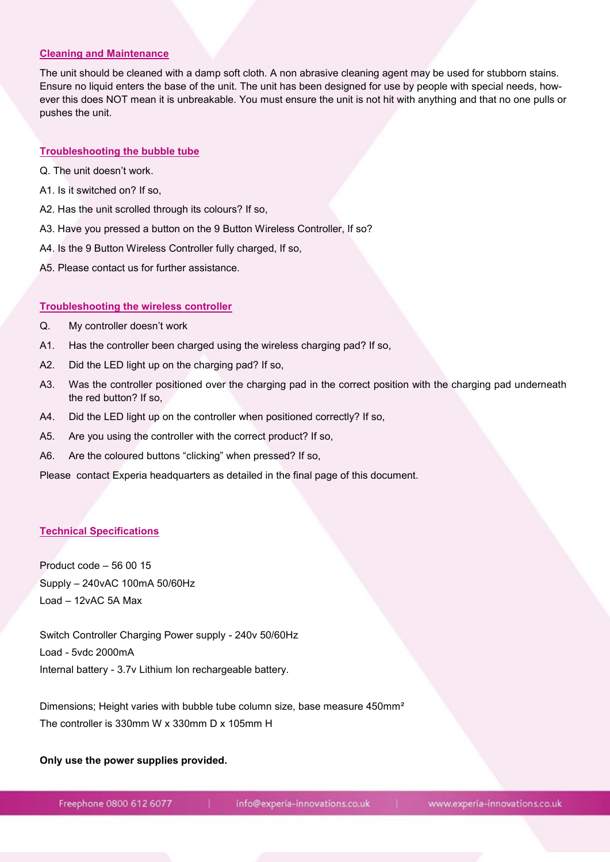#### **Cleaning and Maintenance**

The unit should be cleaned with a damp soft cloth. A non abrasive cleaning agent may be used for stubborn stains. Ensure no liquid enters the base of the unit. The unit has been designed for use by people with special needs, however this does NOT mean it is unbreakable. You must ensure the unit is not hit with anything and that no one pulls or pushes the unit.

#### **Troubleshooting the bubble tube**

- Q. The unit doesn't work.
- A1. Is it switched on? If so,
- A2. Has the unit scrolled through its colours? If so,
- A3. Have you pressed a button on the 9 Button Wireless Controller, If so?
- A4. Is the 9 Button Wireless Controller fully charged, If so,
- A5. Please contact us for further assistance.

#### **Troubleshooting the wireless controller**

- Q. My controller doesn't work
- A1. Has the controller been charged using the wireless charging pad? If so,
- A2. Did the LED light up on the charging pad? If so,
- A3. Was the controller positioned over the charging pad in the correct position with the charging pad underneath the red button? If so,
- A4. Did the LED light up on the controller when positioned correctly? If so,
- A5. Are you using the controller with the correct product? If so,
- A6. Are the coloured buttons "clicking" when pressed? If so,

Please contact Experia headquarters as detailed in the final page of this document.

#### **Technical Specifications**

Product code – 56 00 15 Supply – 240vAC 100mA 50/60Hz Load – 12vAC 5A Max

Switch Controller Charging Power supply - 240v 50/60Hz Load - 5vdc 2000mA Internal battery - 3.7v Lithium Ion rechargeable battery.

Dimensions; Height varies with bubble tube column size, base measure 450mm² The controller is 330mm W x 330mm D x 105mm H

#### **Only use the power supplies provided.**